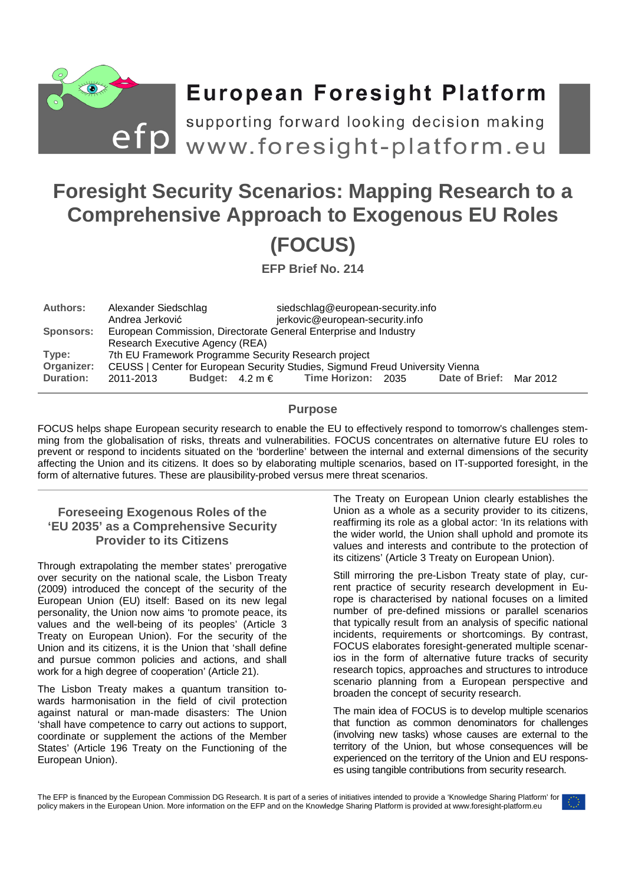

# **European Foresight Platform**

efp supporting forward looking decision making<br>efp www.foresight-platform.eu

## **Foresight Security Scenarios: Mapping Research to a Comprehensive Approach to Exogenous EU Roles (FOCUS)**

**EFP Brief No. 214** 

| <b>Authors:</b>  | Alexander Siedschlag                                                          |  |  | siedschlag@european-security.info                      |  |                         |  |
|------------------|-------------------------------------------------------------------------------|--|--|--------------------------------------------------------|--|-------------------------|--|
|                  | Andrea Jerković                                                               |  |  | jerkovic@european-security.info                        |  |                         |  |
| <b>Sponsors:</b> | European Commission, Directorate General Enterprise and Industry              |  |  |                                                        |  |                         |  |
|                  | Research Executive Agency (REA)                                               |  |  |                                                        |  |                         |  |
| Type:            | 7th EU Framework Programme Security Research project                          |  |  |                                                        |  |                         |  |
| Organizer:       | CEUSS   Center for European Security Studies, Sigmund Freud University Vienna |  |  |                                                        |  |                         |  |
| <b>Duration:</b> | 2011-2013                                                                     |  |  | Budget: $4.2 \text{ m} \in \text{Time Horizon: } 2035$ |  | Date of Brief: Mar 2012 |  |

## **Purpose**

FOCUS helps shape European security research to enable the EU to effectively respond to tomorrow's challenges stemming from the globalisation of risks, threats and vulnerabilities. FOCUS concentrates on alternative future EU roles to prevent or respond to incidents situated on the 'borderline' between the internal and external dimensions of the security affecting the Union and its citizens. It does so by elaborating multiple scenarios, based on IT-supported foresight, in the form of alternative futures. These are plausibility-probed versus mere threat scenarios.

## **Foreseeing Exogenous Roles of the 'EU 2035' as a Comprehensive Security Provider to its Citizens**

Through extrapolating the member states' prerogative over security on the national scale, the Lisbon Treaty (2009) introduced the concept of the security of the European Union (EU) itself: Based on its new legal personality, the Union now aims 'to promote peace, its values and the well-being of its peoples' (Article 3 Treaty on European Union). For the security of the Union and its citizens, it is the Union that 'shall define and pursue common policies and actions, and shall work for a high degree of cooperation' (Article 21).

The Lisbon Treaty makes a quantum transition towards harmonisation in the field of civil protection against natural or man-made disasters: The Union 'shall have competence to carry out actions to support, coordinate or supplement the actions of the Member States' (Article 196 Treaty on the Functioning of the European Union).

The Treaty on European Union clearly establishes the Union as a whole as a security provider to its citizens, reaffirming its role as a global actor: 'In its relations with the wider world, the Union shall uphold and promote its values and interests and contribute to the protection of its citizens' (Article 3 Treaty on European Union).

Still mirroring the pre-Lisbon Treaty state of play, current practice of security research development in Europe is characterised by national focuses on a limited number of pre-defined missions or parallel scenarios that typically result from an analysis of specific national incidents, requirements or shortcomings. By contrast, FOCUS elaborates foresight-generated multiple scenarios in the form of alternative future tracks of security research topics, approaches and structures to introduce scenario planning from a European perspective and broaden the concept of security research.

The main idea of FOCUS is to develop multiple scenarios that function as common denominators for challenges (involving new tasks) whose causes are external to the territory of the Union, but whose consequences will be experienced on the territory of the Union and EU responses using tangible contributions from security research.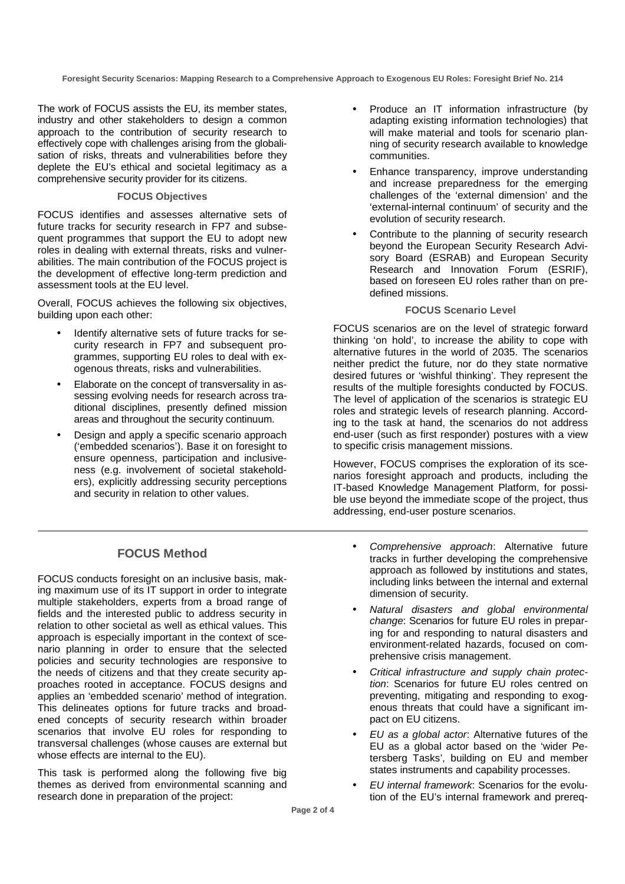**Foresight Security Scenarios: Mapping Research to a Comprehensive Approach to Exogenous EU Roles: Foresight Brief No. 214** 

The work of FOCUS assists the EU, its member states, industry and other stakeholders to design a common approach to the contribution of security research to effectively cope with challenges arising from the globalisation of risks, threats and vulnerabilities before they deplete the EU's ethical and societal legitimacy as a comprehensive security provider for its citizens.

#### **FOCUS Objectives**

FOCUS identifies and assesses alternative sets of future tracks for security research in FP7 and subsequent programmes that support the EU to adopt new roles in dealing with external threats, risks and vulnerabilities. The main contribution of the FOCUS project is the development of effective long-term prediction and assessment tools at the EU level.

Overall, FOCUS achieves the following six objectives, building upon each other:

- Identify alternative sets of future tracks for security research in FP7 and subsequent programmes, supporting EU roles to deal with exogenous threats, risks and vulnerabilities.
- Elaborate on the concept of transversality in assessing evolving needs for research across traditional disciplines, presently defined mission areas and throughout the security continuum.
- Design and apply a specific scenario approach ('embedded scenarios'). Base it on foresight to ensure openness, participation and inclusiveness (e.g. involvement of societal stakeholders), explicitly addressing security perceptions and security in relation to other values.
	- **FOCUS Method**

FOCUS conducts foresight on an inclusive basis, making maximum use of its IT support in order to integrate multiple stakeholders, experts from a broad range of fields and the interested public to address security in relation to other societal as well as ethical values. This approach is especially important in the context of scenario planning in order to ensure that the selected policies and security technologies are responsive to the needs of citizens and that they create security approaches rooted in acceptance. FOCUS designs and applies an 'embedded scenario' method of integration. This delineates options for future tracks and broadened concepts of security research within broader scenarios that involve EU roles for responding to transversal challenges (whose causes are external but whose effects are internal to the EU).

This task is performed along the following five big themes as derived from environmental scanning and research done in preparation of the project:

- Produce an IT information infrastructure (by adapting existing information technologies) that will make material and tools for scenario planning of security research available to knowledge communities.
- Enhance transparency, improve understanding and increase preparedness for the emerging challenges of the 'external dimension' and the 'external-internal continuum' of security and the evolution of security research.
- Contribute to the planning of security research beyond the European Security Research Advisory Board (ESRAB) and European Security Research and Innovation Forum (ESRIF), based on foreseen EU roles rather than on predefined missions.

#### **FOCUS Scenario Level**

FOCUS scenarios are on the level of strategic forward thinking 'on hold', to increase the ability to cope with alternative futures in the world of 2035. The scenarios neither predict the future, nor do they state normative desired futures or 'wishful thinking'. They represent the results of the multiple foresights conducted by FOCUS. The level of application of the scenarios is strategic EU roles and strategic levels of research planning. According to the task at hand, the scenarios do not address end-user (such as first responder) postures with a view to specific crisis management missions.

However, FOCUS comprises the exploration of its scenarios foresight approach and products, including the IT-based Knowledge Management Platform, for possible use beyond the immediate scope of the project, thus addressing, end-user posture scenarios.

- Comprehensive approach: Alternative future tracks in further developing the comprehensive approach as followed by institutions and states, including links between the internal and external dimension of security.
- Natural disasters and global environmental change: Scenarios for future EU roles in preparing for and responding to natural disasters and environment-related hazards, focused on comprehensive crisis management.
- Critical infrastructure and supply chain protection: Scenarios for future EU roles centred on preventing, mitigating and responding to exogenous threats that could have a significant impact on EU citizens.
- EU as a global actor: Alternative futures of the EU as a global actor based on the 'wider Petersberg Tasks', building on EU and member states instruments and capability processes.
- EU internal framework: Scenarios for the evolution of the EU's internal framework and prereq-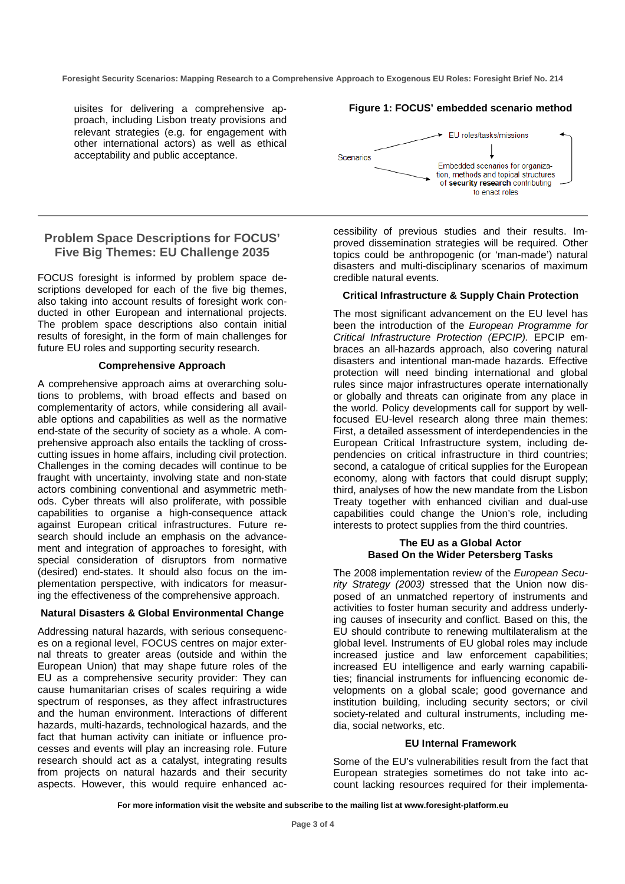**Foresight Security Scenarios: Mapping Research to a Comprehensive Approach to Exogenous EU Roles: Foresight Brief No. 214** 

uisites for delivering a comprehensive approach, including Lisbon treaty provisions and relevant strategies (e.g. for engagement with other international actors) as well as ethical acceptability and public acceptance.

#### **Figure 1: FOCUS' embedded scenario method**



## **Problem Space Descriptions for FOCUS' Five Big Themes: EU Challenge 2035**

FOCUS foresight is informed by problem space descriptions developed for each of the five big themes, also taking into account results of foresight work conducted in other European and international projects. The problem space descriptions also contain initial results of foresight, in the form of main challenges for future EU roles and supporting security research.

#### **Comprehensive Approach**

A comprehensive approach aims at overarching solutions to problems, with broad effects and based on complementarity of actors, while considering all available options and capabilities as well as the normative end-state of the security of society as a whole. A comprehensive approach also entails the tackling of crosscutting issues in home affairs, including civil protection. Challenges in the coming decades will continue to be fraught with uncertainty, involving state and non-state actors combining conventional and asymmetric methods. Cyber threats will also proliferate, with possible capabilities to organise a high-consequence attack against European critical infrastructures. Future research should include an emphasis on the advancement and integration of approaches to foresight, with special consideration of disruptors from normative (desired) end-states. It should also focus on the implementation perspective, with indicators for measuring the effectiveness of the comprehensive approach.

#### **Natural Disasters & Global Environmental Change**

Addressing natural hazards, with serious consequences on a regional level, FOCUS centres on major external threats to greater areas (outside and within the European Union) that may shape future roles of the EU as a comprehensive security provider: They can cause humanitarian crises of scales requiring a wide spectrum of responses, as they affect infrastructures and the human environment. Interactions of different hazards, multi-hazards, technological hazards, and the fact that human activity can initiate or influence processes and events will play an increasing role. Future research should act as a catalyst, integrating results from projects on natural hazards and their security aspects. However, this would require enhanced accessibility of previous studies and their results. Improved dissemination strategies will be required. Other topics could be anthropogenic (or 'man-made') natural disasters and multi-disciplinary scenarios of maximum credible natural events.

#### **Critical Infrastructure & Supply Chain Protection**

The most significant advancement on the EU level has been the introduction of the European Programme for Critical Infrastructure Protection (EPCIP). EPCIP embraces an all-hazards approach, also covering natural disasters and intentional man-made hazards. Effective protection will need binding international and global rules since major infrastructures operate internationally or globally and threats can originate from any place in the world. Policy developments call for support by wellfocused EU-level research along three main themes: First, a detailed assessment of interdependencies in the European Critical Infrastructure system, including dependencies on critical infrastructure in third countries; second, a catalogue of critical supplies for the European economy, along with factors that could disrupt supply; third, analyses of how the new mandate from the Lisbon Treaty together with enhanced civilian and dual-use capabilities could change the Union's role, including interests to protect supplies from the third countries.

#### **The EU as a Global Actor Based On the Wider Petersberg Tasks**

The 2008 implementation review of the European Security Strategy (2003) stressed that the Union now disposed of an unmatched repertory of instruments and activities to foster human security and address underlying causes of insecurity and conflict. Based on this, the EU should contribute to renewing multilateralism at the global level. Instruments of EU global roles may include increased justice and law enforcement capabilities; increased EU intelligence and early warning capabilities; financial instruments for influencing economic developments on a global scale; good governance and institution building, including security sectors; or civil society-related and cultural instruments, including media, social networks, etc.

#### **EU Internal Framework**

Some of the EU's vulnerabilities result from the fact that European strategies sometimes do not take into account lacking resources required for their implementa-

**For more information visit the website and subscribe to the mailing list at www.foresight-platform.eu**